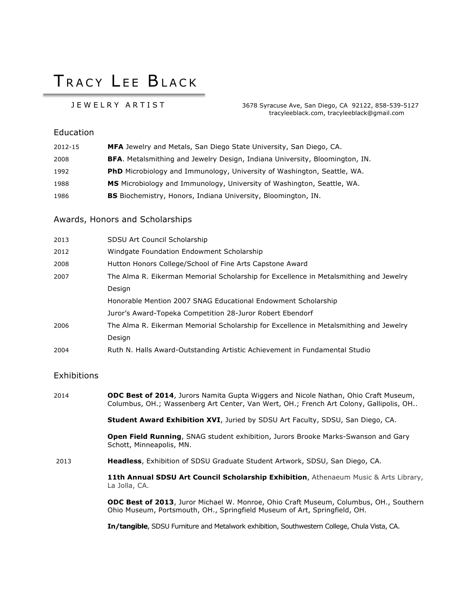# TRACY LFF BIACK

 JEWELRY ARTIST 3678 Syracuse Ave, San Diego, CA 92122, 858-539-5127 tracyleeblack.com, tracyleeblack@gmail.com

#### Education

| 2012-15 | MFA Jewelry and Metals, San Diego State University, San Diego, CA.                 |
|---------|------------------------------------------------------------------------------------|
| 2008    | <b>BFA.</b> Metalsmithing and Jewelry Design, Indiana University, Bloomington, IN. |
| 1992    | <b>PhD</b> Microbiology and Immunology, University of Washington, Seattle, WA.     |
| 1988    | <b>MS</b> Microbiology and Immunology, University of Washington, Seattle, WA.      |
| 1986    | <b>BS</b> Biochemistry, Honors, Indiana University, Bloomington, IN.               |

#### Awards, Honors and Scholarships

| 2013 | SDSU Art Council Scholarship                                                          |
|------|---------------------------------------------------------------------------------------|
| 2012 | Windgate Foundation Endowment Scholarship                                             |
| 2008 | Hutton Honors College/School of Fine Arts Capstone Award                              |
| 2007 | The Alma R. Eikerman Memorial Scholarship for Excellence in Metalsmithing and Jewelry |
|      | Design                                                                                |
|      | Honorable Mention 2007 SNAG Educational Endowment Scholarship                         |
|      | Juror's Award-Topeka Competition 28-Juror Robert Ebendorf                             |
| 2006 | The Alma R. Eikerman Memorial Scholarship for Excellence in Metalsmithing and Jewelry |
|      | Design                                                                                |
| 2004 | Ruth N. Halls Award-Outstanding Artistic Achievement in Fundamental Studio            |

#### **Exhibitions**

2014 **ODC Best of 2014**, Jurors Namita Gupta Wiggers and Nicole Nathan, Ohio Craft Museum, Columbus, OH.; Wassenberg Art Center, Van Wert, OH.; French Art Colony, Gallipolis, OH..

**Student Award Exhibition XVI**, Juried by SDSU Art Faculty, SDSU, San Diego, CA.

**Open Field Running**, SNAG student exhibition, Jurors Brooke Marks-Swanson and Gary Schott, Minneapolis, MN.

2013 **Headless**, Exhibition of SDSU Graduate Student Artwork, SDSU, San Diego, CA.

**11th Annual SDSU Art Council Scholarship Exhibition**, Athenaeum Music & Arts Library, La Jolla, CA.

**ODC Best of 2013**, Juror Michael W. Monroe, Ohio Craft Museum, Columbus, OH., Southern Ohio Museum, Portsmouth, OH., Springfield Museum of Art, Springfield, OH.

**In/tangible**, SDSU Furniture and Metalwork exhibition, Southwestern College, Chula Vista, CA.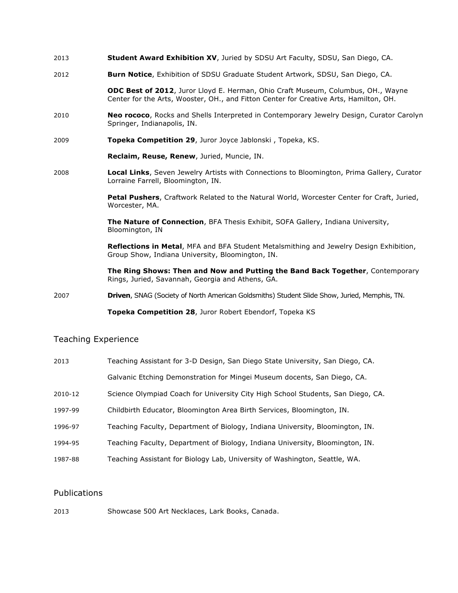- 2013 **Student Award Exhibition XV**, Juried by SDSU Art Faculty, SDSU, San Diego, CA.
- 2012 **Burn Notice**, Exhibition of SDSU Graduate Student Artwork, SDSU, San Diego, CA.

**ODC Best of 2012**, Juror Lloyd E. Herman, Ohio Craft Museum, Columbus, OH., Wayne Center for the Arts, Wooster, OH., and Fitton Center for Creative Arts, Hamilton, OH.

- 2010 **Neo rococo**, Rocks and Shells Interpreted in Contemporary Jewelry Design, Curator Carolyn Springer, Indianapolis, IN.
- 2009 **Topeka Competition 29**, Juror Joyce Jablonski , Topeka, KS.

**Reclaim, Reuse, Renew**, Juried, Muncie, IN.

2008 **Local Links**, Seven Jewelry Artists with Connections to Bloomington, Prima Gallery, Curator Lorraine Farrell, Bloomington, IN.

> **Petal Pushers**, Craftwork Related to the Natural World, Worcester Center for Craft, Juried, Worcester, MA.

**The Nature of Connection**, BFA Thesis Exhibit, SOFA Gallery, Indiana University, Bloomington, IN

**Reflections in Metal**, MFA and BFA Student Metalsmithing and Jewelry Design Exhibition, Group Show, Indiana University, Bloomington, IN.

**The Ring Shows: Then and Now and Putting the Band Back Together**, Contemporary Rings, Juried, Savannah, Georgia and Athens, GA.

2007 **Driven**, SNAG (Society of North American Goldsmiths) Student Slide Show, Juried, Memphis, TN.

**Topeka Competition 28**, Juror Robert Ebendorf, Topeka KS

#### Teaching Experience

| 2013    | Teaching Assistant for 3-D Design, San Diego State University, San Diego, CA.   |
|---------|---------------------------------------------------------------------------------|
|         | Galvanic Etching Demonstration for Mingei Museum docents, San Diego, CA.        |
| 2010-12 | Science Olympiad Coach for University City High School Students, San Diego, CA. |
| 1997-99 | Childbirth Educator, Bloomington Area Birth Services, Bloomington, IN.          |
| 1996-97 | Teaching Faculty, Department of Biology, Indiana University, Bloomington, IN.   |
| 1994-95 | Teaching Faculty, Department of Biology, Indiana University, Bloomington, IN.   |
| 1987-88 | Teaching Assistant for Biology Lab, University of Washington, Seattle, WA.      |

#### Publications

2013 Showcase 500 Art Necklaces, Lark Books, Canada.